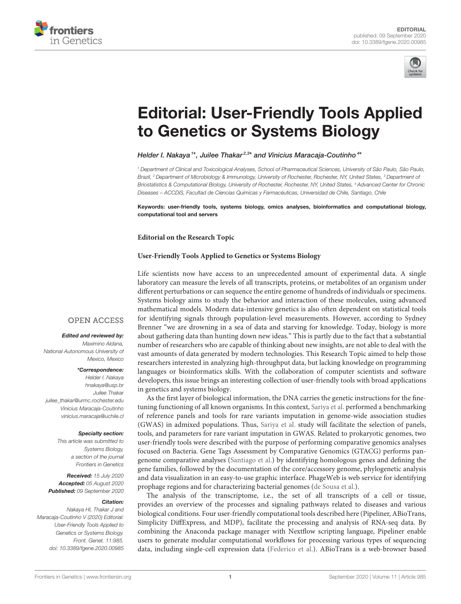



# [Editorial: User-Friendly Tools Applied](https://www.frontiersin.org/articles/10.3389/fgene.2020.00985/full) to Genetics or Systems Biology

## Helder I. Nakaya <sup>1\*</sup>, Juilee Thakar<sup>2,3\*</sup> and Vinicius Maracaja-Coutinho <sup>4\*</sup>

<sup>1</sup> Department of Clinical and Toxicological Analyses, School of Pharmaceutical Sciences, University of São Paulo, São Paulo, Brazil, <sup>2</sup> Department of Microbiology & Immunology, University of Rochester, Rochester, NY, United States, <sup>3</sup> Department of Briostatistics & Computational Biology, University of Rochester, Rochester, NY, United States, <sup>4</sup> Advanced Center for Chronic Diseases – ACCDiS, Facultad de Ciencias Químicas y Farmacéuticas, Universidad de Chile, Santiago, Chile

Keywords: user-friendly tools, systems biology, omics analyses, bioinformatics and computational biology, computational tool and servers

#### **Editorial on the Research Topic**

## **[User-Friendly Tools Applied to Genetics or Systems Biology](https://www.frontiersin.org/research-topics/8352/user-friendly-tools-applied-to-genetics-or-systems-biology)**

Life scientists now have access to an unprecedented amount of experimental data. A single laboratory can measure the levels of all transcripts, proteins, or metabolites of an organism under different perturbations or can sequence the entire genome of hundreds of individuals or specimens. Systems biology aims to study the behavior and interaction of these molecules, using advanced mathematical models. Modern data-intensive genetics is also often dependent on statistical tools for identifying signals through population-level measurements. However, according to Sydney Brenner "we are drowning in a sea of data and starving for knowledge. Today, biology is more about gathering data than hunting down new ideas." This is partly due to the fact that a substantial number of researchers who are capable of thinking about new insights, are not able to deal with the vast amounts of data generated by modern technologies. This Research Topic aimed to help those researchers interested in analyzing high-throughput data, but lacking knowledge on programming languages or bioinformatics skills. With the collaboration of computer scientists and software developers, this issue brings an interesting collection of user-friendly tools with broad applications in genetics and systems biology.

As the first layer of biological information, the DNA carries the genetic instructions for the finetuning functioning of all known organisms. In this context, [Sariya et al.](https://doi.org/10.3389/fgene.2019.00239) performed a benchmarking of reference panels and tools for rare variants imputation in genome-wide association studies (GWAS) in admixed populations. Thus, [Sariya et al.](https://doi.org/10.3389/fgene.2019.00239) study will facilitate the selection of panels, tools, and parameters for rare variant imputation in GWAS. Related to prokaryotic genomes, two user-friendly tools were described with the purpose of performing comparative genomics analyses focused on Bacteria. Gene Tags Assessment by Comparative Genomics (GTACG) performs pangenome comparative analyses [\(Santiago et al.\)](https://doi.org/10.3389/fgene.2019.00725) by identifying homologous genes and defining the gene families, followed by the documentation of the core/accessory genome, phylogenetic analysis and data visualization in an easy-to-use graphic interface. PhageWeb is web service for identifying prophage regions and for characterizing bacterial genomes [\(de Sousa et al.\)](https://doi.org/10.3389/fgene.2018.00644).

The analysis of the transcriptome, i.e., the set of all transcripts of a cell or tissue, provides an overview of the processes and signaling pathways related to diseases and various biological conditions. Four user-friendly computational tools described here (Pipeliner, ABioTrans, Simplicity DiffExpress, and MDP), facilitate the processing and analysis of RNA-seq data. By combining the Anaconda package manager with Nextflow scripting language, Pipeliner enable users to generate modular computational workflows for processing various types of sequencing data, including single-cell expression data [\(Federico et al.\)](https://doi.org/10.3389/fgene.2019.00614). ABioTrans is a web-browser based

## **OPEN ACCESS**

### Edited and reviewed by:

Maximino Aldana, National Autonomous University of Mexico, Mexico

#### \*Correspondence:

Helder I. Nakaya [hnakaya@usp.br](mailto:hnakaya@usp.br) Juilee Thakar [juilee\\_thakar@urmc.rochester.edu](mailto:juilee_thakar@urmc.rochester.edu) Vinicius Maracaja-Coutinho [vinicius.maracaja@uchile.cl](mailto:vinicius.maracaja@uchile.cl)

#### Specialty section:

This article was submitted to Systems Biology, a section of the journal Frontiers in Genetics

Received: 15 July 2020 Accepted: 05 August 2020 Published: 09 September 2020

#### Citation:

Nakaya HI, Thakar J and Maracaja-Coutinho V (2020) Editorial: User-Friendly Tools Applied to Genetics or Systems Biology. Front. Genet. 11:985. doi: [10.3389/fgene.2020.00985](https://doi.org/10.3389/fgene.2020.00985)